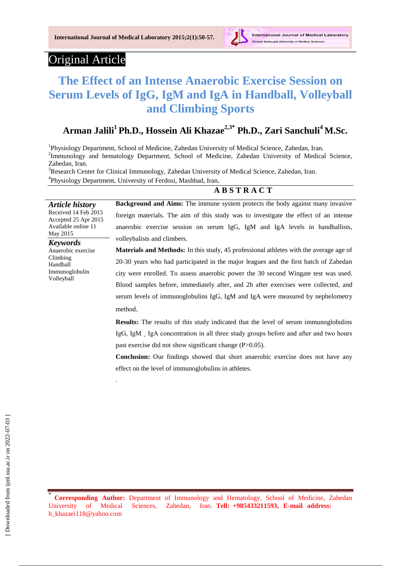

## Original Article

# **The Effect of an Intense Anaerobic Exercise Session on Serum Levels of IgG, IgM and IgA in Handball, Volleyball and Climbing Sports**

## **Arman Jalili<sup>1</sup>Ph.D., Hossein Ali Khazae2,3\* Ph.D., Zari Sanchuli<sup>4</sup>M.Sc.**

<sup>1</sup>Physiology Department, School of Medicine, Zahedan University of Medical Science, Zahedan, Iran. <sup>2</sup>Immunology and hematology Department, School of Medicine, Zahedan University of Medical Science, Zahedan, Iran.

<sup>3</sup>Research Center for Clinical Immunology, Zahedan University of Medical Science, Zahedan, Iran. <sup>4</sup>Physiology Department, University of Ferdosi, Mashhad, Iran.

### **A B S T R A C T**

*Article history* Received 14 Feb 2015 Accepted 25 Apr 2015 Available online 11 May 2015

**Background and Aims:** The immune system protects the body against many invasive foreign materials. The aim of this study was to investigate the effect of an intense anaerobic exercise session on serum IgG, IgM and IgA levels in handballists, volleybalists and climbers.

*Keywords* Anaerobic exercise Climbing Handball Immunoglobulin Volleyball

.

**Materials and Methods:** In this study, 45 professional athletes with the average age of 20-30 years who had participated in the major leagues and the first batch of Zahedan city were enrolled. To assess anaerobic power the 30 second Wingate test was used. Blood samples before, immediately after, and 2h after exercises were collected, and serum levels of immunoglobulins IgG, IgM and IgA were measured by nephelometry method.

**Results:** The results of this study indicated that the level of serum immunoglobulins IgG, IgM  $\,$  IgA concentration in all three study groups before and after and two hours past exercise did not show significant change (P>0.05).

**Conclusion:** Our findings showed that short anaerobic exercise does not have any effect on the level of immunoglobulins in athletes.

\* **Corresponding Author:** Department of Immunology and Hematology, School of Medicine, Zahedan University of Medical Sciences, Zahedan, Iran. **Tell: +985433211593, E-mail address:** h\_khazaei118@yahoo.com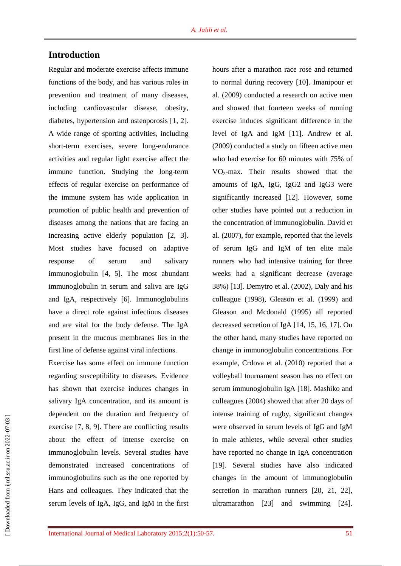## **Introduction**

Regular and moderate exercise affects immune functions of the body, and has various roles in prevention and treatment of many diseases, including cardiovascular disease, obesity, diabetes, hypertension and osteoporosis [1, 2]. A wide range of sporting activities, including short-term exercises, severe long-endurance activities and regular light exercise affect the immune function. Studying the long-term effects of regular exercise on performance of the immune system has wide application in promotion of public health and prevention of diseases among the nations that are facing an increasing active elderly population [2, 3]. Most studies have focused on adaptive response of serum and salivary immunoglobulin [4, 5]. The most abundant immunoglobulin in serum and saliva are IgG and IgA, respectively [6]. Immunoglobulins have a direct role against infectious diseases and are vital for the body defense. The IgA present in the mucous membranes lies in the first line of defense against viral infections.

Exercise has some effect on immune function regarding susceptibility to diseases. Evidence has shown that exercise induces changes in salivary IgA concentration, and its amount is dependent on the duration and frequency of exercise [7, 8, 9]. There are conflicting results about the effect of intense exercise on immunoglobulin levels. Several studies have demonstrated increased concentrations of immunoglobulins such as the one reported by Hans and colleagues. They indicated that the serum levels of IgA, IgG, and IgM in the first hours after a marathon race rose and returned to normal during recovery [10]. Imanipour et al. (2009) conducted a research on active men and showed that fourteen weeks of running exercise induces significant difference in the level of IgA and IgM [11]. Andrew et al. (2009) conducted a study on fifteen active men who had exercise for 60 minutes with 75% of  $VO<sub>2</sub>$ -max. Their results showed that the amounts of IgA, IgG, IgG2 and IgG3 were significantly increased [12]. However, some other studies have pointed out a reduction in the concentration of immunoglobulin. David et al. (2007), for example, reported that the levels of serum IgG and IgM of ten elite male runners who had intensive training for three weeks had a significant decrease (average 38%) [13]. Demytro et al. (2002), Daly and his colleague (1998), Gleason et al. (1999) and Gleason and Mcdonald (1995) all reported decreased secretion of IgA [14, 15, 16, 17]. On the other hand, many studies have reported no change in immunoglobulin concentrations. For example, Crdova et al. (2010) reported that a volleyball tournament season has no effect on serum immunoglobulin IgA [18]. Mashiko and colleagues (2004) showed that after 20 days of intense training of rugby, significant changes were observed in serum levels of IgG and IgM in male athletes, while several other studies have reported no change in IgA concentration [19]. Several studies have also indicated changes in the amount of immunoglobulin secretion in marathon runners [20, 21, 22], ultramarathon [23] and swimming [24].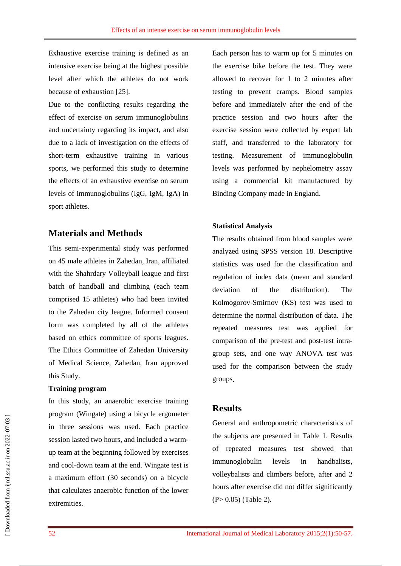Exhaustive exercise training is defined as an intensive exercise being at the highest possible level after which the athletes do not work because of exhaustion [25].

Due to the conflicting results regarding the effect of exercise on serum immunoglobulins and uncertainty regarding its impact, and also due to a lack of investigation on the effects of short-term exhaustive training in various sports, we performed this study to determine the effects of an exhaustive exercise on serum levels of immunoglobulins (IgG, IgM, IgA) in sport athletes.

## **Materials and Methods**

This semi-experimental study was performed on 45 male athletes in Zahedan, Iran, affiliated with the Shahrdary Volleyball league and first batch of handball and climbing (each team comprised 15 athletes) who had been invited to the Zahedan city league. Informed consent form was completed by all of the athletes based on ethics committee of sports leagues. The Ethics Committee of Zahedan University of Medical Science, Zahedan, Iran approved this Study.

#### **Training program**

In this study, an anaerobic exercise training program (Wingate) using a bicycle ergometer in three sessions was used. Each practice session lasted two hours, and included a warmup team at the beginning followed by exercises and cool-down team at the end. Wingate test is a maximum effort (30 seconds) on a bicycle that calculates anaerobic function of the lower extremities.

Each person has to warm up for 5 minutes on the exercise bike before the test. They were allowed to recover for 1 to 2 minutes after testing to prevent cramps. Blood samples before and immediately after the end of the practice session and two hours after the exercise session were collected by expert lab staff, and transferred to the laboratory for testing. Measurement of immunoglobulin levels was performed by nephelometry assay using a commercial kit manufactured by Binding Company made in England.

#### **Statistical Analysis**

The results obtained from blood samples were analyzed using SPSS version 18. Descriptive statistics was used for the classification and regulation of index data (mean and standard deviation of the distribution). The Kolmogorov-Smirnov (KS) test was used to determine the normal distribution of data. The repeated measures test was applied for comparison of the pre-test and post-test intragroup sets, and one way ANOVA test was used for the comparison between the study groups.

## **Results**

General and anthropometric characteristics of the subjects are presented in Table 1. Results of repeated measures test showed that immunoglobulin levels in handbalists, volleybalists and climbers before, after and 2 hours after exercise did not differ significantly (P> 0.05) (Table 2).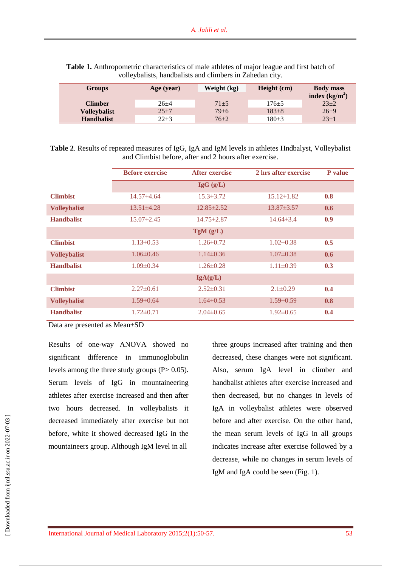| <b>Groups</b>       | Age (year) | Weight (kg) | Height (cm) | <b>Body mass</b> |
|---------------------|------------|-------------|-------------|------------------|
|                     |            |             |             | index $(kg/m2)$  |
| <b>Climber</b>      | $26 + 4$   | $71 + 5$    | 176±5       | $23 + 2$         |
| <b>Volleybalist</b> | $25 + 7$   | $79 + 6$    | $183+8$     | $26 + 9$         |
| <b>Handbalist</b>   | $22 + 3$   | $76 + 2$    | 180±3       | $23 + 1$         |

**Table 1.** Anthropometric characteristics of male athletes of major league and first batch of volleybalists, handbalists and climbers in Zahedan city.

**Table 2**. Results of repeated measures of IgG, IgA and IgM levels in athletes Hndbalyst, Volleybalist and Climbist before, after and 2 hours after exercise.

|                     | <b>Before exercise</b> | <b>After exercise</b> | 2 hrs after exercise | <b>P</b> value |  |  |
|---------------------|------------------------|-----------------------|----------------------|----------------|--|--|
|                     | $\lg G$ (g/L)          |                       |                      |                |  |  |
| <b>Climbist</b>     | $14.57\pm4.64$         | $15.3 \pm 3.72$       | $15.12 \pm 1.82$     | 0.8            |  |  |
| <b>Volleybalist</b> | $13.51 \pm 4.28$       | $12.85 \pm 2.52$      | $13.87 \pm 3.57$     | 0.6            |  |  |
| <b>Handbalist</b>   | $15.07 \pm 2.45$       | $14.75 \pm 2.87$      | $14.64\pm3.4$        | 0.9            |  |  |
| TgM(g/L)            |                        |                       |                      |                |  |  |
| <b>Climbist</b>     | $1.13 \pm 0.53$        | $1.26 \pm 0.72$       | $1.02 \pm 0.38$      | 0.5            |  |  |
| <b>Volleybalist</b> | $1.06\pm0.46$          | $1.14\pm0.36$         | $1.07\pm0.38$        | 0.6            |  |  |
| <b>Handbalist</b>   | $1.09 \pm 0.34$        | $1.26 \pm 0.28$       | $1.11 \pm 0.39$      | 0.3            |  |  |
| IgA(g/L)            |                        |                       |                      |                |  |  |
| <b>Climbist</b>     | $2.27\pm0.61$          | $2.52 \pm 0.31$       | $2.1 \pm 0.29$       | 0.4            |  |  |
| <b>Volleybalist</b> | $1.59 \pm 0.64$        | $1.64 \pm 0.53$       | $1.59 \pm 0.59$      | 0.8            |  |  |
| <b>Handbalist</b>   | $1.72 \pm 0.71$        | $2.04\pm 0.65$        | $1.92 \pm 0.65$      | 0.4            |  |  |

Data are presented as Mean±SD

Results of one-way ANOVA showed no significant difference in immunoglobulin levels among the three study groups  $(P> 0.05)$ . Serum levels of IgG in mountaineering athletes after exercise increased and then after two hours decreased. In volleybalists it decreased immediately after exercise but not before, white it showed decreased IgG in the mountaineers group. Although IgM level in all

three groups increased after training and then decreased, these changes were not significant. Also, serum IgA level in climber and handbalist athletes after exercise increased and then decreased, but no changes in levels of IgA in volleybalist athletes were observed before and after exercise. On the other hand, the mean serum levels of IgG in all groups indicates increase after exercise followed by a decrease, while no changes in serum levels of IgM and IgA could be seen (Fig. 1).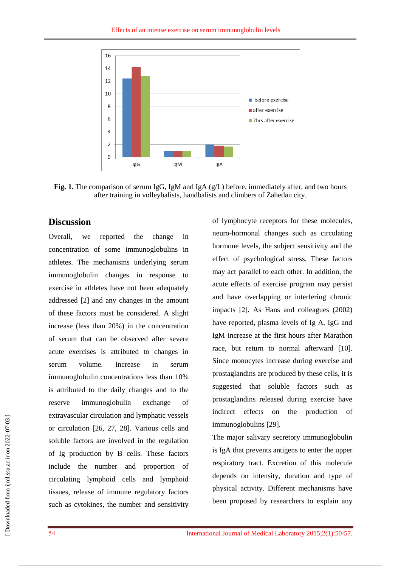

**Fig. 1.** The comparison of serum IgG, IgM and IgA (g/L) before, immediately after, and two hours after training in volleybalists, handbalists and climbers of Zahedan city.

## **Discussion**

Overall, we reported the change in concentration of some immunoglobulins in athletes. The mechanisms underlying serum immunoglobulin changes in response to exercise in athletes have not been adequately addressed [2] and any changes in the amount of these factors must be considered. A slight increase (less than 20%) in the concentration of serum that can be observed after severe acute exercises is attributed to changes in serum volume. Increase in serum immunoglobulin concentrations less than 10% is attributed to the daily changes and to the reserve immunoglobulin exchange of extravascular circulation and lymphatic vessels or circulation [26, 27, 28]. Various cells and soluble factors are involved in the regulation of Ig production by B cells. These factors include the number and proportion of circulating lymphoid cells and lymphoid tissues, release of immune regulatory factors such as cytokines, the number and sensitivity

of lymphocyte receptors for these molecules, neuro-hormonal changes such as circulating hormone levels, the subject sensitivity and the effect of psychological stress. These factors may act parallel to each other. In addition, the acute effects of exercise program may persist and have overlapping or interfering chronic impacts [2]. As Hans and colleagues (2002) have reported, plasma levels of Ig A, IgG and IgM increase at the first hours after Marathon race, but return to normal afterward [10]. Since monocytes increase during exercise and prostaglandins are produced by these cells, it is suggested that soluble factors such as prostaglandins released during exercise have indirect effects on the production of immunoglobulins [29].

The major salivary secretory immunoglobulin is IgA that prevents antigens to enter the upper respiratory tract. Excretion of this molecule depends on intensity, duration and type of physical activity. Different mechanisms have been proposed by researchers to explain any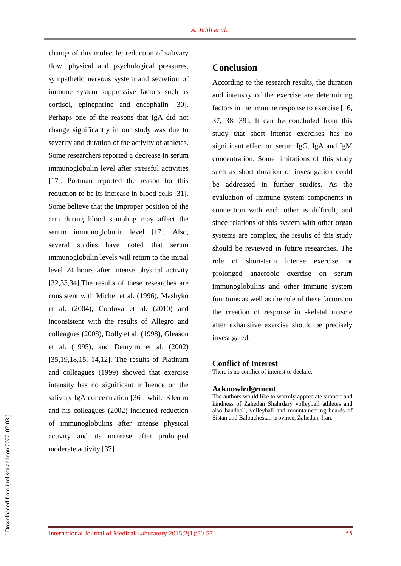change of this molecule: reduction of salivary flow, physical and psychological pressures, sympathetic nervous system and secretion of immune system suppressive factors such as cortisol, epinephrine and encephalin [30]. Perhaps one of the reasons that IgA did not change significantly in our study was due to severity and duration of the activity of athletes. Some researchers reported a decrease in serum immunoglobulin level after stressful activities [17]. Portman reported the reason for this reduction to be its increase in blood cells [31]. Some believe that the improper position of the arm during blood sampling may affect the serum immunoglobulin level [17]. Also, several studies have noted that serum immunoglobulin levels will return to the initial level 24 hours after intense physical activity [32,33,34].The results of these researches are consistent with Michel et al. (1996), Mashyko et al. (2004), Cordova et al. (2010) and inconsistent with the results of Allegro and colleagues (2008), Dolly et al. (1998), Gleason et al. (1995), and Demytro et al. (2002) [35,19,18,15, 14,12]. The results of Platinum and colleagues (1999) showed that exercise intensity has no significant influence on the salivary IgA concentration [36], while Klentro and his colleagues (2002) indicated reduction of immunoglobulins after intense physical activity and its increase after prolonged moderate activity [37].

## **Conclusion**

According to the research results, the duration and intensity of the exercise are determining factors in the immune response to exercise [16, 37, 38, 39]. It can be concluded from this study that short intense exercises has no significant effect on serum IgG, IgA and IgM concentration. Some limitations of this study such as short duration of investigation could be addressed in further studies. As the evaluation of immune system components in connection with each other is difficult, and since relations of this system with other organ systems are complex, the results of this study should be reviewed in future researches. The role of short-term intense exercise or prolonged anaerobic exercise on serum immunoglobulins and other immune system functions as well as the role of these factors on the creation of response in skeletal muscle after exhaustive exercise should be precisely investigated.

#### **Conflict of Interest**

There is no conflict of interest to declare.

#### **Acknowledgement**

The authors would like to warmly appreciate support and kindness of Zahedan Shahrdary volleyball athletes and also handball, volleyball and mountaineering boards of Sistan and Balouchestan province, Zahedan, Iran.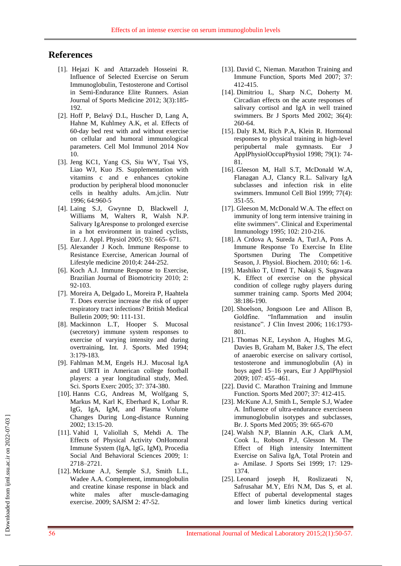## **References**

- [1]. Hejazi K and Attarzadeh Hosseini R. Influence of Selected Exercise on Serum Immunoglobulin, Testosterone and Cortisol in Semi-Endurance Elite Runners. Asian Journal of Sports Medicine 2012; 3(3):185- 192.
- [2]. [Hoff P,](http://www.ncbi.nlm.nih.gov/pubmed/?term=Hoff%20P%5BAuthor%5D&cauthor=true&cauthor_uid=25382740) [Belavý D.L,](http://www.ncbi.nlm.nih.gov/pubmed/?term=Belav%C3%BD%20DL%5BAuthor%5D&cauthor=true&cauthor_uid=25382740) [Huscher D,](http://www.ncbi.nlm.nih.gov/pubmed/?term=Huscher%20D%5BAuthor%5D&cauthor=true&cauthor_uid=25382740) [Lang A,](http://www.ncbi.nlm.nih.gov/pubmed/?term=Lang%20A%5BAuthor%5D&cauthor=true&cauthor_uid=25382740) [Hahne M,](http://www.ncbi.nlm.nih.gov/pubmed/?term=Hahne%20M%5BAuthor%5D&cauthor=true&cauthor_uid=25382740) [Kuhlmey A.K,](http://www.ncbi.nlm.nih.gov/pubmed/?term=Kuhlmey%20AK%5BAuthor%5D&cauthor=true&cauthor_uid=25382740) et al. Effects of 60-day bed rest with and without exercise on cellular and humoral immunological parameters. Cell Mol Immunol 2014 Nov 10.
- [3]. Jeng KC1, Yang CS, Siu WY, Tsai YS, Liao WJ, Kuo JS. Supplementation with vitamins c and e enhances cytokine production by peripheral blood mononucler cells in healthy adults. Am.jclin. Nutr 1996; 64:960-5
- [4]. Laing S.J, Gwynne D, Blackwell J, Williams M, Walters R, Walsh N.P. Salivary IgAresponse to prolonged exercise in a hot environment in trained cyclists, Eur. J. Appl. Physiol 2005; 93: 665- 671.
- [5]. Alexander J Koch. Immune Response to Resistance Exercise, American Journal of Lifestyle medicine 2010;4: 244-252.
- [6]. Koch A.J. Immune Response to Exercise, Brazilian Journal of Biomotricity 2010; 2: 92-103.
- [7]. Moreira A, Delgado L, Moreira P, Haahtela T. Does exercise increase the risk of upper respiratory tract infections? British Medical Bulletin 2009; 90: 111-131.
- [8]. Mackinnon L.T, Hooper S. Mucosal (secretory) immune system responses to exercise of varying intensity and during overtraining, Int. J. Sports. Med 1994; 3:179-183.
- [9]. Fahlman M.M, Engels H.J. Mucosal IgA and URTI in American college football players: a year longitudinal study, Med. Sci. Sports Exerc 2005; 37: 374-380.
- [10]. Hanns C.G, Andreas M, Wolfgang S, Markus M, Karl K, Eberhard K, Lothar R. IgG, IgA, IgM, and Plasma Volume Changes During Long-distance Running 2002; 13:15-20.
- [11]. Vahid I, Valiollah S, Mehdi A. The Effects of Physical Activity OnHomoral Immune System (IgA, IgG, IgM), Procedia Social And Behavioral Sciences 2009; 1: 2718–2721.
- [12]. Mckune A.J, Semple S.J, Smith L.L, Wadee A.A. Complement, immunoglobulin and creatine kinase response in black and white males after muscle-damaging exercise. 2009; SAJSM 2: 47-52.
- [13]. David C, Nieman. Marathon Training and Immune Function, Sports Med 2007; 37: 412-415.
- [14]. Dimitriou L, Sharp N.C, Doherty M. Circadian effects on the acute responses of salivary cortisol and IgA in well trained swimmers. Br J Sports Med 2002; 36(4): 260-64.
- [15]. Daly R.M, Rich P.A, Klein R. Hormonal responses to physical training in high-level peripubertal male gymnasts. Eur J ApplPhysiolOccupPhysiol 1998; 79(1): 74- 81.
- [16]. Gleeson M, Hall S.T, McDonald W.A, Flanagan A.J, Clancy R.L. Salivary IgA subclasses and infection risk in elite swimmers. Immunol Cell Biol 1999; 77(4): 351-55.
- [17]. Gleeson M, McDonald W.A. The effect on immunity of long term intensive training in elite swimmers". Clinical and Experimental Immunology 1995; 102: 210-216.
- [18]. A Crdova A, Sureda A, TurJ.A, Pons A. Immune Response To Exercise In Elite Sportsmen During The Competitive Season, J. Physiol. Biochem. 2010; 66: 1-6.
- [19]. Mashiko T, Umed T, Nakaji S, Sugawara K. Effect of exercise on the physical condition of college rugby players during summer training camp. Sports Med 2004; 38:186-190.
- [20]. Shoelson, Jongsoon Lee and Allison B, Goldfine. "Inflammation and insulin resistance". J Clin Invest 2006; 116:1793- 801.
- [21]. Thomas N.E, Leyshon A, Hughes M.G, Davies B, Graham M, Baker J.S, The efect of anaerobic exercise on salivary cortisol, testosterone and immunoglobulin (A) in boys aged 15–16 years, Eur J ApplPhysiol 2009; 107: 455–461.
- [22]. David C. Marathon Training and Immune Function. Sports Med 2007; 37: 412-415.
- [23]. McKune A.J, Smith L, Semple S.J, Wadee A. Influence of ultra-endurance exerciseon immunoglobulin isotypes and subclasses, Br. J. Sports Med 2005; 39: 665-670
- [24]. Walsh N.P, Blannin A.K, Clark A.M, Cook L, Robson P.J, Glesson M. The Effect of High intensity Intermittent Exercise on Saliva IgA, Total Protein and a- Amilase. J Sports Sei 1999; 17: 129- 1374.
- [25]. Leonard joseph H, Roslizaeati N, Safrusahar M.Y, Efri N.M, Das S, et al. Effect of pubertal developmental stages and lower limb kinetics during vertical